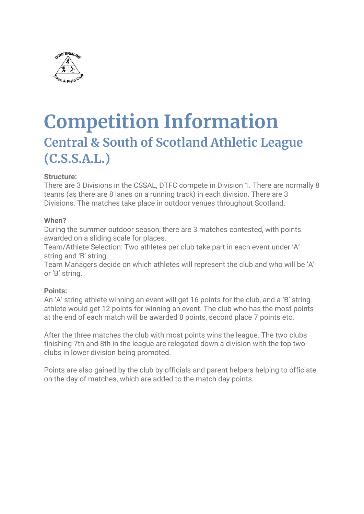

# **Competition Information Central & South of Scotland Athletic League (C.S.S.A.L.)**

#### **Structure:**

There are 3 Divisions in the CSSAL, DTFC compete in Division 1. There are normally 8 teams (as there are 8 lanes on a running track) in each division. There are 3 Divisions. The matches take place in outdoor venues throughout Scotland.

#### **When?**

During the summer outdoor season, there are 3 matches contested, with points awarded on a sliding scale for places.

Team/Athlete Selection: Two athletes per club take part in each event under 'A' string and 'B' string.

Team Managers decide on which athletes will represent the club and who will be 'A' or 'B' string.

#### **Points:**

An 'A' string athlete winning an event will get 16 points for the club, and a 'B' string athlete would get 12 points for winning an event. The club who has the most points at the end of each match will be awarded 8 points, second place 7 points etc.

After the three matches the club with most points wins the league. The two clubs finishing 7th and 8th in the league are relegated down a division with the top two clubs in lower division being promoted.

Points are also gained by the club by officials and parent helpers helping to officiate on the day of matches, which are added to the match day points.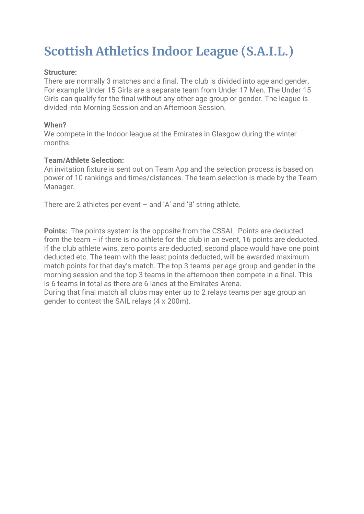## **Scottish Athletics Indoor League (S.A.I.L.)**

#### **Structure:**

There are normally 3 matches and a final. The club is divided into age and gender. For example Under 15 Girls are a separate team from Under 17 Men. The Under 15 Girls can qualify for the final without any other age group or gender. The league is divided into Morning Session and an Afternoon Session.

#### **When?**

We compete in the Indoor league at the Emirates in Glasgow during the winter months.

#### **Team/Athlete Selection:**

An invitation fixture is sent out on Team App and the selection process is based on power of 10 rankings and times/distances. The team selection is made by the Team Manager.

There are 2 athletes per event – and 'A' and 'B' string athlete.

**Points:** The points system is the opposite from the CSSAL. Points are deducted from the team – if there is no athlete for the club in an event, 16 points are deducted. If the club athlete wins, zero points are deducted, second place would have one point deducted etc. The team with the least points deducted, will be awarded maximum match points for that day's match. The top 3 teams per age group and gender in the morning session and the top 3 teams in the afternoon then compete in a final. This is 6 teams in total as there are 6 lanes at the Emirates Arena.

During that final match all clubs may enter up to 2 relays teams per age group an gender to contest the SAIL relays (4 x 200m).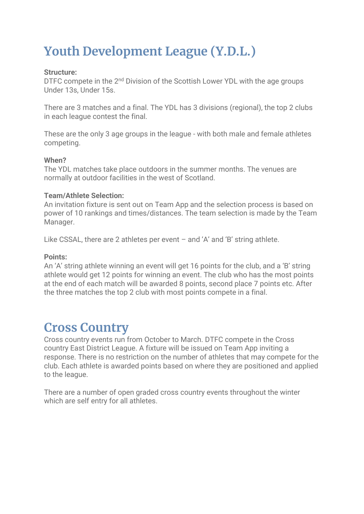## **Youth Development League (Y.D.L.)**

#### **Structure:**

DTFC compete in the 2<sup>nd</sup> Division of the Scottish Lower YDL with the age groups Under 13s, Under 15s.

There are 3 matches and a final. The YDL has 3 divisions (regional), the top 2 clubs in each league contest the final.

These are the only 3 age groups in the league - with both male and female athletes competing.

#### **When?**

The YDL matches take place outdoors in the summer months. The venues are normally at outdoor facilities in the west of Scotland.

#### **Team/Athlete Selection:**

An invitation fixture is sent out on Team App and the selection process is based on power of 10 rankings and times/distances. The team selection is made by the Team Manager.

Like CSSAL, there are 2 athletes per event – and 'A' and 'B' string athlete.

#### **Points:**

An 'A' string athlete winning an event will get 16 points for the club, and a 'B' string athlete would get 12 points for winning an event. The club who has the most points at the end of each match will be awarded 8 points, second place 7 points etc. After the three matches the top 2 club with most points compete in a final.

### **Cross Country**

Cross country events run from October to March. DTFC compete in the Cross country East District League. A fixture will be issued on Team App inviting a response. There is no restriction on the number of athletes that may compete for the club. Each athlete is awarded points based on where they are positioned and applied to the league.

There are a number of open graded cross country events throughout the winter which are self entry for all athletes.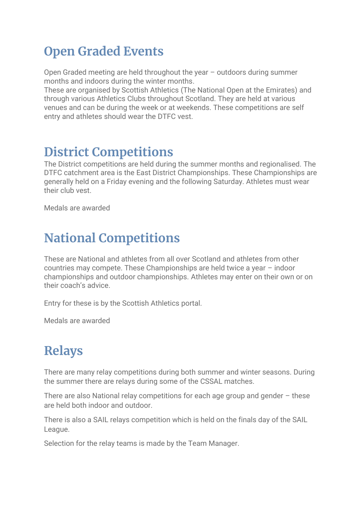### **Open Graded Events**

Open Graded meeting are held throughout the year – outdoors during summer months and indoors during the winter months.

These are organised by Scottish Athletics (The National Open at the Emirates) and through various Athletics Clubs throughout Scotland. They are held at various venues and can be during the week or at weekends. These competitions are self entry and athletes should wear the DTFC vest.

### **District Competitions**

The District competitions are held during the summer months and regionalised. The DTFC catchment area is the East District Championships. These Championships are generally held on a Friday evening and the following Saturday. Athletes must wear their club vest.

Medals are awarded

### **National Competitions**

These are National and athletes from all over Scotland and athletes from other countries may compete. These Championships are held twice a year – indoor championships and outdoor championships. Athletes may enter on their own or on their coach's advice.

Entry for these is by the Scottish Athletics portal.

Medals are awarded

## **Relays**

There are many relay competitions during both summer and winter seasons. During the summer there are relays during some of the CSSAL matches.

There are also National relay competitions for each age group and gender – these are held both indoor and outdoor.

There is also a SAIL relays competition which is held on the finals day of the SAIL League.

Selection for the relay teams is made by the Team Manager.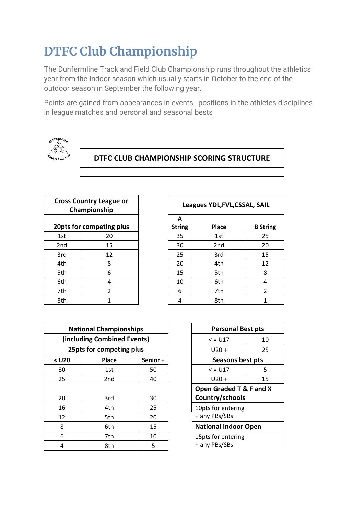## **DTFC Club Championship**

The Dunfermline Track and Field Club Championship runs throughout the athletics year from the Indoor season which usually starts in October to the end of the outdoor season in September the following year.

Points are gained from appearances in events , positions in the athletes disciplines in league matches and personal and seasonal bests



### **DTFC CLUB CHAMPIONSHIP SCORING STRUCTURE**

| <b>Cross Country League or</b><br>Championship |                          |  |  |
|------------------------------------------------|--------------------------|--|--|
| 20pts for competing plus                       |                          |  |  |
| 1st                                            | 20                       |  |  |
| 2nd                                            | 15                       |  |  |
| 3rd                                            | 12                       |  |  |
| 4th                                            | 8                        |  |  |
| 5th                                            | 6                        |  |  |
| 6th                                            | 4                        |  |  |
| 7th                                            | $\overline{\mathcal{L}}$ |  |  |
| 8th                                            | 1                        |  |  |

|                         | Cross Country League or<br>Championship | Leagues YDL, FVL, CSSAL, SAIL |               |                 |                 |
|-------------------------|-----------------------------------------|-------------------------------|---------------|-----------------|-----------------|
|                         |                                         |                               | A             |                 |                 |
| Opts for competing plus |                                         |                               | <b>String</b> | Place           | <b>B</b> String |
| 1st                     | 20                                      |                               | 35            | 1st             | 25              |
| 2nd                     | 15                                      |                               | 30            | 2 <sub>nd</sub> | 20              |
| 3rd                     | 12                                      |                               | 25            | 3rd             | 15              |
| 4th                     | 8                                       |                               | 20            | 4th             | 12              |
| 5th                     | 6                                       |                               | 15            | 5th             | 8               |
| 6th                     | 4                                       |                               | 10            | 6th             | 4               |
| 7th                     | $\mathcal{P}$                           |                               | 6             | 7th             | 2               |
| 8th                     |                                         |                               | 4             | 8th             |                 |

| <b>National Championships</b> |                 |          | <b>Personal Best pts</b>            |                                     |    |
|-------------------------------|-----------------|----------|-------------------------------------|-------------------------------------|----|
| (including Combined Events)   |                 |          |                                     | $<$ = $U17$                         | 10 |
| 25pts for competing plus      |                 |          |                                     | $U20 +$                             | 25 |
| $<$ U20                       | Place           | Senior + |                                     | Seasons best pts                    |    |
| 30                            | 1st             | 50       |                                     | $<$ = U17                           | 5  |
| 25                            | 2 <sub>nd</sub> | 40       |                                     | $U20 +$                             | 15 |
|                               |                 |          |                                     | Open Graded T & F and               |    |
| 20                            | 3rd             | 30       |                                     | Country/schools                     |    |
| 16                            | 4th             | 25       |                                     | 10pts for entering<br>+ any PBs/SBs |    |
| 12                            | 5th             | 20       |                                     |                                     |    |
| 8                             | 6th             | 15       |                                     | <b>National Indoor Open</b>         |    |
| 6                             | 7th             | 10       | 15pts for entering<br>+ any PBs/SBs |                                     |    |
| 4                             | 8th             | 5        |                                     |                                     |    |
|                               |                 |          |                                     |                                     |    |

| <b>Personal Best pts</b>    |    |  |  |
|-----------------------------|----|--|--|
| $\le$ = U17                 | 10 |  |  |
| U20 +                       | 25 |  |  |
| Seasons best pts            |    |  |  |
| $\le$ = U17                 | 5  |  |  |
| U20 +                       | 15 |  |  |
| Open Graded T & F and X     |    |  |  |
| Country/schools             |    |  |  |
| 10pts for entering          |    |  |  |
| + any PBs/SBs               |    |  |  |
| <b>National Indoor Open</b> |    |  |  |
| 15pts for entering          |    |  |  |
| + any PBs/SBs               |    |  |  |